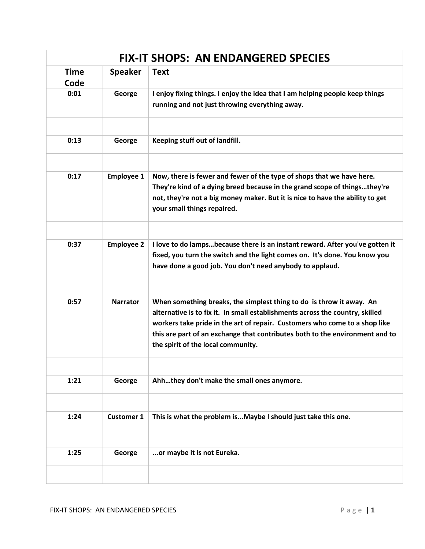|              | <b>FIX-IT SHOPS: AN ENDANGERED SPECIES</b> |                                                                                                                                                                                                                                                                                                                                                           |  |  |  |
|--------------|--------------------------------------------|-----------------------------------------------------------------------------------------------------------------------------------------------------------------------------------------------------------------------------------------------------------------------------------------------------------------------------------------------------------|--|--|--|
| Time<br>Code | <b>Speaker</b>                             | <b>Text</b>                                                                                                                                                                                                                                                                                                                                               |  |  |  |
| 0:01         | George                                     | I enjoy fixing things. I enjoy the idea that I am helping people keep things<br>running and not just throwing everything away.                                                                                                                                                                                                                            |  |  |  |
| 0:13         | George                                     | Keeping stuff out of landfill.                                                                                                                                                                                                                                                                                                                            |  |  |  |
| 0:17         | <b>Employee 1</b>                          | Now, there is fewer and fewer of the type of shops that we have here.<br>They're kind of a dying breed because in the grand scope of thingsthey're<br>not, they're not a big money maker. But it is nice to have the ability to get<br>your small things repaired.                                                                                        |  |  |  |
| 0:37         | <b>Employee 2</b>                          | I love to do lampsbecause there is an instant reward. After you've gotten it<br>fixed, you turn the switch and the light comes on. It's done. You know you<br>have done a good job. You don't need anybody to applaud.                                                                                                                                    |  |  |  |
| 0:57         | <b>Narrator</b>                            | When something breaks, the simplest thing to do is throw it away. An<br>alternative is to fix it. In small establishments across the country, skilled<br>workers take pride in the art of repair. Customers who come to a shop like<br>this are part of an exchange that contributes both to the environment and to<br>the spirit of the local community. |  |  |  |
| 1:21         | George                                     | Ahhthey don't make the small ones anymore.                                                                                                                                                                                                                                                                                                                |  |  |  |
| 1:24         | <b>Customer 1</b>                          | This is what the problem isMaybe I should just take this one.                                                                                                                                                                                                                                                                                             |  |  |  |
| 1:25         | George                                     | or maybe it is not Eureka.                                                                                                                                                                                                                                                                                                                                |  |  |  |
|              |                                            |                                                                                                                                                                                                                                                                                                                                                           |  |  |  |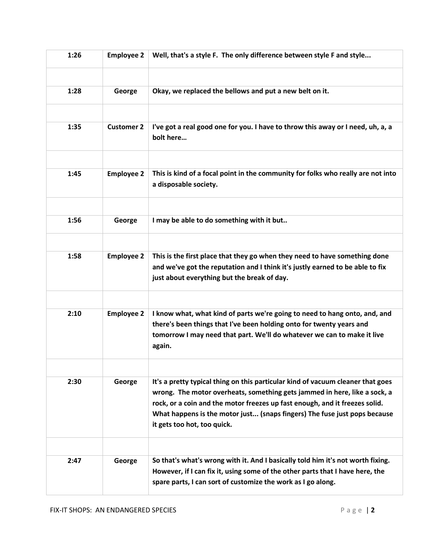| 1:26 | <b>Employee 2</b> | Well, that's a style F. The only difference between style F and style                                                                                                                                                                                                                                                                                   |
|------|-------------------|---------------------------------------------------------------------------------------------------------------------------------------------------------------------------------------------------------------------------------------------------------------------------------------------------------------------------------------------------------|
| 1:28 | George            | Okay, we replaced the bellows and put a new belt on it.                                                                                                                                                                                                                                                                                                 |
|      |                   |                                                                                                                                                                                                                                                                                                                                                         |
| 1:35 | <b>Customer 2</b> | I've got a real good one for you. I have to throw this away or I need, uh, a, a<br>bolt here                                                                                                                                                                                                                                                            |
| 1:45 | <b>Employee 2</b> | This is kind of a focal point in the community for folks who really are not into<br>a disposable society.                                                                                                                                                                                                                                               |
|      |                   |                                                                                                                                                                                                                                                                                                                                                         |
| 1:56 | George            | I may be able to do something with it but                                                                                                                                                                                                                                                                                                               |
| 1:58 | <b>Employee 2</b> | This is the first place that they go when they need to have something done                                                                                                                                                                                                                                                                              |
|      |                   | and we've got the reputation and I think it's justly earned to be able to fix<br>just about everything but the break of day.                                                                                                                                                                                                                            |
|      |                   |                                                                                                                                                                                                                                                                                                                                                         |
| 2:10 | <b>Employee 2</b> | I know what, what kind of parts we're going to need to hang onto, and, and<br>there's been things that I've been holding onto for twenty years and<br>tomorrow I may need that part. We'll do whatever we can to make it live<br>again.                                                                                                                 |
|      |                   |                                                                                                                                                                                                                                                                                                                                                         |
| 2:30 | George            | It's a pretty typical thing on this particular kind of vacuum cleaner that goes<br>wrong. The motor overheats, something gets jammed in here, like a sock, a<br>rock, or a coin and the motor freezes up fast enough, and it freezes solid.<br>What happens is the motor just (snaps fingers) The fuse just pops because<br>it gets too hot, too quick. |
|      |                   |                                                                                                                                                                                                                                                                                                                                                         |
| 2:47 | George            | So that's what's wrong with it. And I basically told him it's not worth fixing.<br>However, if I can fix it, using some of the other parts that I have here, the<br>spare parts, I can sort of customize the work as I go along.                                                                                                                        |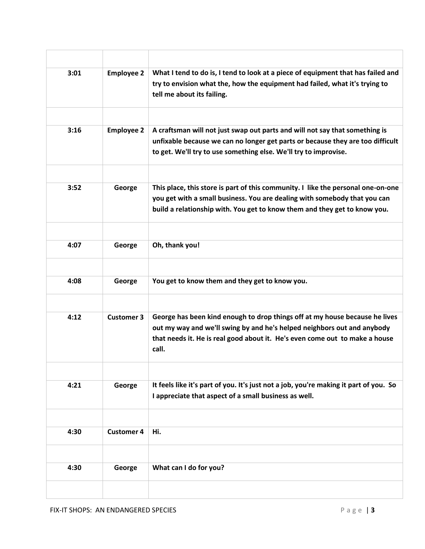| 3:01 | <b>Employee 2</b> | What I tend to do is, I tend to look at a piece of equipment that has failed and<br>try to envision what the, how the equipment had failed, what it's trying to<br>tell me about its failing.                                                  |
|------|-------------------|------------------------------------------------------------------------------------------------------------------------------------------------------------------------------------------------------------------------------------------------|
|      |                   |                                                                                                                                                                                                                                                |
| 3:16 | <b>Employee 2</b> | A craftsman will not just swap out parts and will not say that something is<br>unfixable because we can no longer get parts or because they are too difficult<br>to get. We'll try to use something else. We'll try to improvise.              |
|      |                   |                                                                                                                                                                                                                                                |
| 3:52 | George            | This place, this store is part of this community. I like the personal one-on-one<br>you get with a small business. You are dealing with somebody that you can<br>build a relationship with. You get to know them and they get to know you.     |
|      |                   |                                                                                                                                                                                                                                                |
| 4:07 | George            | Oh, thank you!                                                                                                                                                                                                                                 |
|      |                   |                                                                                                                                                                                                                                                |
| 4:08 | George            | You get to know them and they get to know you.                                                                                                                                                                                                 |
|      |                   |                                                                                                                                                                                                                                                |
| 4:12 | <b>Customer 3</b> | George has been kind enough to drop things off at my house because he lives<br>out my way and we'll swing by and he's helped neighbors out and anybody<br>that needs it. He is real good about it. He's even come out to make a house<br>call. |
|      |                   |                                                                                                                                                                                                                                                |
| 4:21 | George            | It feels like it's part of you. It's just not a job, you're making it part of you. So<br>I appreciate that aspect of a small business as well.                                                                                                 |
|      |                   |                                                                                                                                                                                                                                                |
| 4:30 | <b>Customer 4</b> | Hi.                                                                                                                                                                                                                                            |
|      |                   |                                                                                                                                                                                                                                                |
| 4:30 | George            | What can I do for you?                                                                                                                                                                                                                         |
|      |                   |                                                                                                                                                                                                                                                |